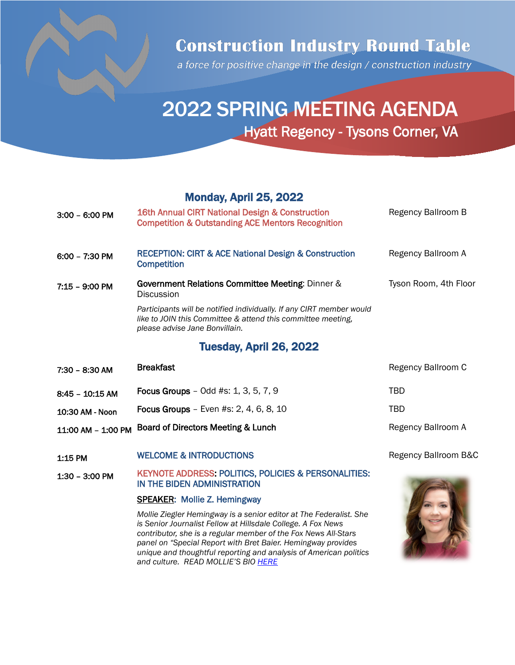

## **Construction Industry Round Table**

a force for positive change in the design / construction industry

# 2022 SPRING MEETING AGENDA Hyatt Regency - Tysons Corner, VA

#### Monday, April 25, 2022

| $3:00 - 6:00$ PM   | 16th Annual CIRT National Design & Construction<br><b>Competition &amp; Outstanding ACE Mentors Recognition</b>                                                        | Regency Ballroom B    |
|--------------------|------------------------------------------------------------------------------------------------------------------------------------------------------------------------|-----------------------|
| $6:00 - 7:30$ PM   | <b>RECEPTION: CIRT &amp; ACE National Design &amp; Construction</b><br><b>Competition</b>                                                                              | Regency Ballroom A    |
| $7:15 - 9:00$ PM   | Government Relations Committee Meeting: Dinner &<br><b>Discussion</b>                                                                                                  | Tyson Room, 4th Floor |
|                    | Participants will be notified individually. If any CIRT member would<br>like to JOIN this Committee & attend this committee meeting,<br>please advise Jane Bonvillain. |                       |
|                    | Tuesday, April 26, 2022                                                                                                                                                |                       |
| 7:30 - 8:30 AM     | <b>Breakfast</b>                                                                                                                                                       | Regency Ballroom C    |
| $8:45 - 10:15$ AM  | <b>Focus Groups</b> – Odd $#s$ : 1, 3, 5, 7, 9                                                                                                                         | TBD                   |
| 10:30 AM - Noon    | <b>Focus Groups</b> – Even #s: $2, 4, 6, 8, 10$                                                                                                                        | TBD                   |
| 11:00 AM - 1:00 PM | Board of Directors Meeting & Lunch                                                                                                                                     | Regency Ballroom A    |

- 1:15 PM WELCOME & INTRODUCTIONS **Example 2** Regency Ballroom B&C
- 1:30 3:00 PM KEYNOTE ADDRESS: POLITICS, POLICIES & PERSONALITIES: IN THE BIDEN ADMINISTRATION

#### SPEAKER: Mollie Z. Hemingway

*Mollie Ziegler Hemingway is a senior editor at The Federalist. She is Senior Journalist Fellow at Hillsdale College. A Fox News contributor, she is a regular member of the Fox News All-Stars panel on "Special Report with Bret Baier. Hemingway provides unique and thoughtful reporting and analysis of American politics and culture. READ MOLLIE'S BIO [HERE](https://thefederalist.com/author/mzhemingway/)*

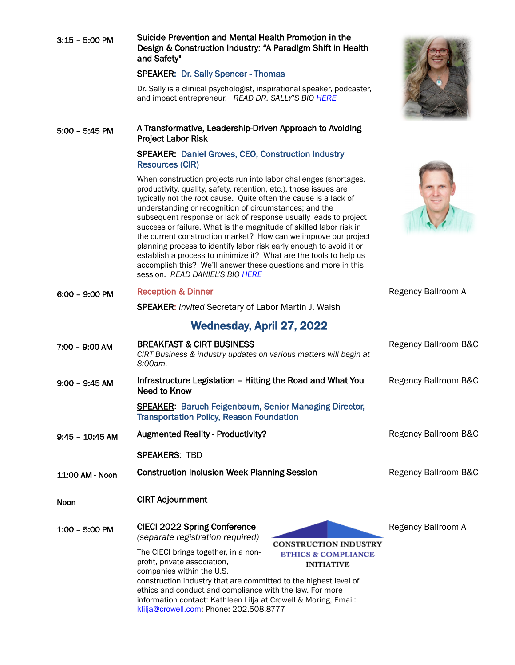| $3:15 - 5:00$ PM  | Suicide Prevention and Mental Health Promotion in the<br>Design & Construction Industry: "A Paradigm Shift in Health<br>and Safety"                                                                                                                                                                                                                                                                                                                                                                                                                                                                                                                                                                                               |                      |
|-------------------|-----------------------------------------------------------------------------------------------------------------------------------------------------------------------------------------------------------------------------------------------------------------------------------------------------------------------------------------------------------------------------------------------------------------------------------------------------------------------------------------------------------------------------------------------------------------------------------------------------------------------------------------------------------------------------------------------------------------------------------|----------------------|
|                   | <b>SPEAKER: Dr. Sally Spencer - Thomas</b>                                                                                                                                                                                                                                                                                                                                                                                                                                                                                                                                                                                                                                                                                        |                      |
|                   | Dr. Sally is a clinical psychologist, inspirational speaker, podcaster,<br>and impact entrepreneur. READ DR. SALLY'S BIO HERE                                                                                                                                                                                                                                                                                                                                                                                                                                                                                                                                                                                                     |                      |
| $5:00 - 5:45$ PM  | A Transformative, Leadership-Driven Approach to Avoiding<br><b>Project Labor Risk</b>                                                                                                                                                                                                                                                                                                                                                                                                                                                                                                                                                                                                                                             |                      |
|                   | <b>SPEAKER: Daniel Groves, CEO, Construction Industry</b><br><b>Resources (CIR)</b>                                                                                                                                                                                                                                                                                                                                                                                                                                                                                                                                                                                                                                               |                      |
|                   | When construction projects run into labor challenges (shortages,<br>productivity, quality, safety, retention, etc.), those issues are<br>typically not the root cause. Quite often the cause is a lack of<br>understanding or recognition of circumstances; and the<br>subsequent response or lack of response usually leads to project<br>success or failure. What is the magnitude of skilled labor risk in<br>the current construction market? How can we improve our project<br>planning process to identify labor risk early enough to avoid it or<br>establish a process to minimize it? What are the tools to help us<br>accomplish this? We'll answer these questions and more in this<br>session. READ DANIEL'S BIO HERE |                      |
| $6:00 - 9:00$ PM  | <b>Reception &amp; Dinner</b>                                                                                                                                                                                                                                                                                                                                                                                                                                                                                                                                                                                                                                                                                                     | Regency Ballroom A   |
|                   | <b>SPEAKER:</b> Invited Secretary of Labor Martin J. Walsh                                                                                                                                                                                                                                                                                                                                                                                                                                                                                                                                                                                                                                                                        |                      |
|                   | <b>Wednesday, April 27, 2022</b>                                                                                                                                                                                                                                                                                                                                                                                                                                                                                                                                                                                                                                                                                                  |                      |
| 7:00 - 9:00 AM    | <b>BREAKFAST &amp; CIRT BUSINESS</b><br>CIRT Business & industry updates on various matters will begin at<br>8:00am.                                                                                                                                                                                                                                                                                                                                                                                                                                                                                                                                                                                                              | Regency Ballroom B&C |
| $9:00 - 9:45$ AM  | Infrastructure Legislation - Hitting the Road and What You<br><b>Need to Know</b>                                                                                                                                                                                                                                                                                                                                                                                                                                                                                                                                                                                                                                                 | Regency Ballroom B&C |
|                   | <b>SPEAKER: Baruch Feigenbaum, Senior Managing Director,</b><br><b>Transportation Policy, Reason Foundation</b>                                                                                                                                                                                                                                                                                                                                                                                                                                                                                                                                                                                                                   |                      |
| $9:45 - 10:45$ AM | <b>Augmented Reality - Productivity?</b>                                                                                                                                                                                                                                                                                                                                                                                                                                                                                                                                                                                                                                                                                          | Regency Ballroom B&C |
|                   | <b>SPEAKERS: TBD</b>                                                                                                                                                                                                                                                                                                                                                                                                                                                                                                                                                                                                                                                                                                              |                      |
| 11:00 AM - Noon   | <b>Construction Inclusion Week Planning Session</b>                                                                                                                                                                                                                                                                                                                                                                                                                                                                                                                                                                                                                                                                               | Regency Ballroom B&C |
| <b>Noon</b>       | <b>CIRT Adjournment</b>                                                                                                                                                                                                                                                                                                                                                                                                                                                                                                                                                                                                                                                                                                           |                      |
| $1:00 - 5:00$ PM  | <b>CIECI 2022 Spring Conference</b><br>(separate registration required)<br><b>CONSTRUCTION INDUSTRY</b><br>The CIECI brings together, in a non-<br><b>ETHICS &amp; COMPLIANCE</b><br>profit, private association,<br><b>INITIATIVE</b>                                                                                                                                                                                                                                                                                                                                                                                                                                                                                            | Regency Ballroom A   |
|                   | companies within the U.S.<br>construction industry that are committed to the highest level of<br>ethics and conduct and compliance with the law. For more<br>information contact: Kathleen Lilja at Crowell & Moring, Email:<br>klilja@crowell.com; Phone: 202.508.8777                                                                                                                                                                                                                                                                                                                                                                                                                                                           |                      |